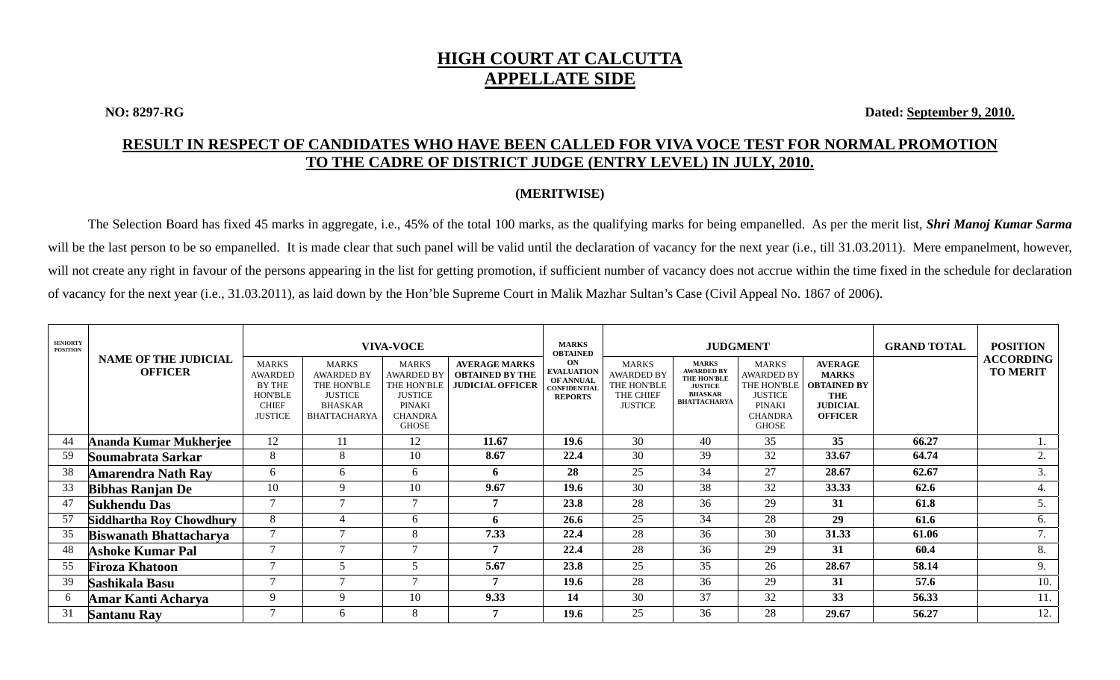## **HIGH COURT AT CALCUTTA APPELLATE SIDE**

**NO: 8297-RG Dated: September 9, 2010.** 

## **RESULT IN RESPECT OF CANDIDATES WHO HAVE BEEN CALLED FOR VIVA VOCE TEST FOR NORMAL PROMOTION TO THE CADRE OF DISTRICT JUDGE (ENTRY LEVEL) IN JULY, 2010.**

## **(MERITWISE)**

The Selection Board has fixed 45 marks in aggregate, i.e., 45% of the total 100 marks, as the qualifying marks for being empanelled. As per the merit list, *Shri Manoj Kumar Sarma* will be the last person to be so empanelled. It is made clear that such panel will be valid until the declaration of vacancy for the next year (i.e., till 31.03.2011). Mere empanelment, however, will not create any right in favour of the persons appearing in the list for getting promotion, if sufficient number of vacancy does not accrue within the time fixed in the schedule for declaration of vacancy for the next year (i.e., 31.03.2011), as laid down by the Hon'ble Supreme Court in Malik Mazhar Sultan's Case (Civil Appeal No. 1867 of 2006).

| <b>SENIORTY</b><br><b>POSITION</b> | <b>NAME OF THE JUDICIAL</b><br><b>OFFICER</b> | <b>MARKS</b><br><b>AWARDED</b><br><b>BY THE</b><br><b>HON'BLE</b><br><b>CHIEF</b><br><b>JUSTICE</b> | <b>MARKS</b><br><b>AWARDED BY</b><br>THE HON'BLE<br><b>JUSTICE</b><br><b>BHASKAR</b><br><b>BHATTACHARYA</b> | <b>VIVA-VOCE</b><br><b>MARKS</b><br><b>AWARDED BY</b><br>THE HON'BLE<br><b>JUSTICE</b><br>PINAKI<br><b>CHANDRA</b> | <b>AVERAGE MARKS</b><br><b>OBTAINED BY THE</b><br><b>JUDICIAL OFFICER</b> | <b>MARKS</b><br><b>OBTAINED</b><br>ON<br><b>EVALUATION</b><br><b>OF ANNUAL</b><br><b>CONFIDENTIAL</b><br><b>REPORTS</b> | <b>MARKS</b><br><b>AWARDED BY</b><br>THE HON'BLE<br><b>THE CHIEF</b><br><b>JUSTICE</b> | <b>MARKS</b><br><b>AWARDED BY</b><br><b>THE HON'BLE</b><br><b>JUSTICE</b><br><b>BHASKAR</b><br><b>BHATTACHARYA</b> | <b>JUDGMENT</b><br>MARKS<br><b>AWARDED BY</b><br>THE HON'BLE<br><b>JUSTICE</b><br><b>PINAKI</b><br><b>CHANDRA</b> | <b>AVERAGE</b><br><b>MARKS</b><br><b>OBTAINED BY</b><br><b>THE</b><br><b>JUDICIAL</b><br><b>OFFICER</b> | <b>GRAND TOTAL</b> | <b>POSITION</b><br><b>ACCORDING</b><br><b>TO MERIT</b> |
|------------------------------------|-----------------------------------------------|-----------------------------------------------------------------------------------------------------|-------------------------------------------------------------------------------------------------------------|--------------------------------------------------------------------------------------------------------------------|---------------------------------------------------------------------------|-------------------------------------------------------------------------------------------------------------------------|----------------------------------------------------------------------------------------|--------------------------------------------------------------------------------------------------------------------|-------------------------------------------------------------------------------------------------------------------|---------------------------------------------------------------------------------------------------------|--------------------|--------------------------------------------------------|
|                                    |                                               |                                                                                                     |                                                                                                             | <b>GHOSE</b>                                                                                                       |                                                                           |                                                                                                                         |                                                                                        |                                                                                                                    | <b>GHOSE</b>                                                                                                      |                                                                                                         |                    |                                                        |
| -44                                | Ananda Kumar Mukherjee                        | 12                                                                                                  |                                                                                                             | 12                                                                                                                 | 11.67                                                                     | 19.6                                                                                                                    | 30                                                                                     | 40                                                                                                                 | 35                                                                                                                | 35                                                                                                      | 66.27              |                                                        |
| 59                                 | Soumabrata Sarkar                             | 8                                                                                                   | 8                                                                                                           | 10                                                                                                                 | 8.67                                                                      | 22.4                                                                                                                    | 30                                                                                     | 39                                                                                                                 | 32                                                                                                                | 33.67                                                                                                   | 64.74              | 2.                                                     |
| 38                                 | <b>Amarendra Nath Ray</b>                     | 6                                                                                                   | 6                                                                                                           | 6                                                                                                                  | 6                                                                         | 28                                                                                                                      | 25                                                                                     | 34                                                                                                                 | 27                                                                                                                | 28.67                                                                                                   | 62.67              | 3.                                                     |
| 33                                 | <b>Bibhas Ranjan De</b>                       | 10                                                                                                  | 9                                                                                                           | 10                                                                                                                 | 9.67                                                                      | 19.6                                                                                                                    | 30                                                                                     | 38                                                                                                                 | 32                                                                                                                | 33.33                                                                                                   | 62.6               | 4.                                                     |
| 47                                 | Sukhendu Das                                  | $\overline{ }$                                                                                      |                                                                                                             |                                                                                                                    |                                                                           | 23.8                                                                                                                    | 28                                                                                     | 36                                                                                                                 | 29                                                                                                                | 31                                                                                                      | 61.8               | C.                                                     |
| 57                                 | <b>Siddhartha Roy Chowdhury</b>               | 8                                                                                                   |                                                                                                             | 6                                                                                                                  | h                                                                         | 26.6                                                                                                                    | 25                                                                                     | 34                                                                                                                 | 28                                                                                                                | 29                                                                                                      | 61.6               | 6.                                                     |
| 35                                 | <b>Biswanath Bhattacharya</b>                 | $\overline{ }$                                                                                      | $\overline{ }$                                                                                              | 8                                                                                                                  | 7.33                                                                      | 22.4                                                                                                                    | 28                                                                                     | 36                                                                                                                 | 30                                                                                                                | 31.33                                                                                                   | 61.06              | 7.                                                     |
| 48                                 | <b>Ashoke Kumar Pal</b>                       | $\overline{ }$                                                                                      | $\overline{ }$                                                                                              | $\overline{ }$                                                                                                     | 7                                                                         | 22.4                                                                                                                    | 28                                                                                     | 36                                                                                                                 | 29                                                                                                                | 31                                                                                                      | 60.4               | 8.                                                     |
| 55                                 | Firoza Khatoon                                | $\overline{ }$                                                                                      |                                                                                                             | $\overline{r}$                                                                                                     | 5.67                                                                      | 23.8                                                                                                                    | 25                                                                                     | 35                                                                                                                 | 26                                                                                                                | 28.67                                                                                                   | 58.14              | 9.                                                     |
| 39                                 | Sashikala Basu                                | $\overline{ }$                                                                                      | $\overline{ }$                                                                                              | $\overline{ }$                                                                                                     | 7                                                                         | 19.6                                                                                                                    | 28                                                                                     | 36                                                                                                                 | 29                                                                                                                | 31                                                                                                      | 57.6               | 10.                                                    |
| -6                                 | Amar Kanti Acharya                            | 9                                                                                                   | 9                                                                                                           | 10                                                                                                                 | 9.33                                                                      | 14                                                                                                                      | 30                                                                                     | 37                                                                                                                 | 32                                                                                                                | 33                                                                                                      | 56.33              | 11.                                                    |
| 31                                 | <b>Santanu Ray</b>                            |                                                                                                     | 6                                                                                                           | 8                                                                                                                  |                                                                           | 19.6                                                                                                                    | 25                                                                                     | 36                                                                                                                 | 28                                                                                                                | 29.67                                                                                                   | 56.27              | 12.                                                    |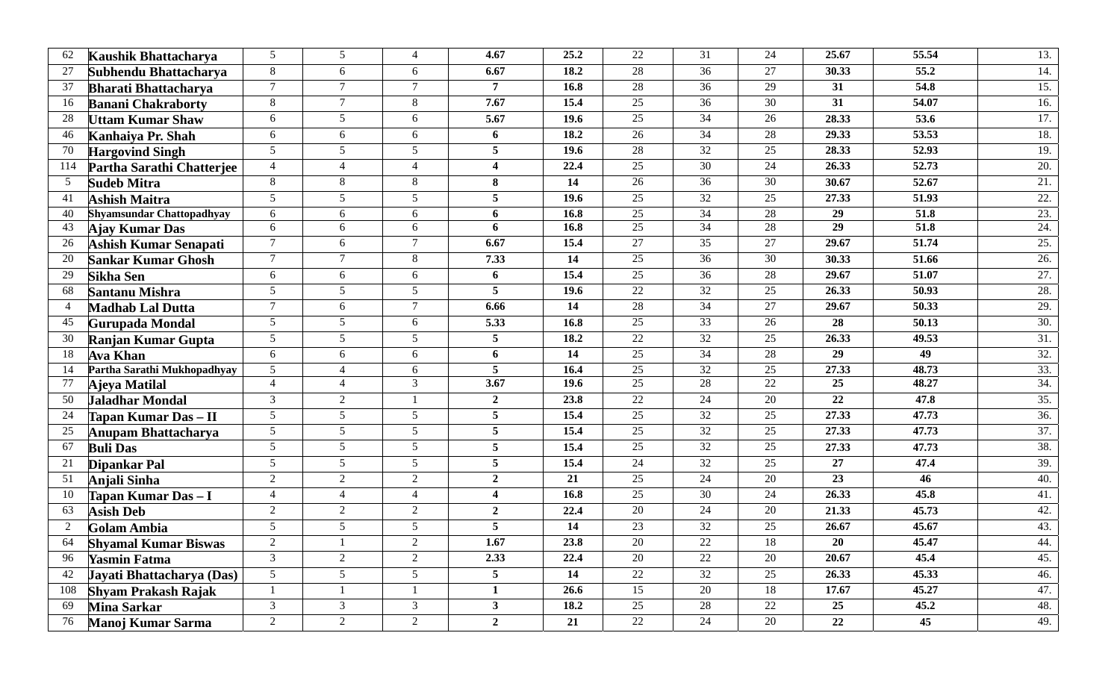| 62  | Kaushik Bhattacharya             | 5                      | 5                        | $\overline{4}$ | 4.67           | 25.2 | 22              | 31              | 24              | 25.67           | 55.54             | 13.               |
|-----|----------------------------------|------------------------|--------------------------|----------------|----------------|------|-----------------|-----------------|-----------------|-----------------|-------------------|-------------------|
| 27  | Subhendu Bhattacharya            | 8                      | 6                        | 6              | 6.67           | 18.2 | 28              | 36              | 27              | 30.33           | 55.2              | 14.               |
| 37  | <b>Bharati Bhattacharva</b>      | $\tau$                 | $\overline{7}$           | $\overline{7}$ | 7              | 16.8 | 28              | 36              | $\overline{29}$ | 31              | 54.8              | 15.               |
| 16  | <b>Banani Chakraborty</b>        | $\,8\,$                | $\overline{7}$           | 8              | 7.67           | 15.4 | 25              | 36              | 30              | 31              | 54.07             | 16.               |
| 28  | <b>Uttam Kumar Shaw</b>          | 6                      | 5                        | 6              | 5.67           | 19.6 | $\overline{25}$ | 34              | 26              | 28.33           | 53.6              | 17.               |
| 46  | Kanhaiya Pr. Shah                | 6                      | 6                        | 6              | 6              | 18.2 | 26              | $\overline{34}$ | 28              | 29.33           | 53.53             | 18.               |
| 70  | <b>Hargovind Singh</b>           | 5                      | 5                        | 5 <sup>1</sup> | 5              | 19.6 | 28              | 32              | 25              | 28.33           | 52.93             | 19.               |
| 114 | Partha Sarathi Chatterjee        | 4                      | $\overline{4}$           | $\overline{4}$ | 4              | 22.4 | 25              | 30              | 24              | 26.33           | 52.73             | 20.               |
| 5   | <b>Sudeb Mitra</b>               | 8                      | 8                        | 8              | 8              | 14   | 26              | 36              | 30              | 30.67           | 52.67             | 21.               |
| 41  | <b>Ashish Maitra</b>             | 5                      | 5                        | 5              | 5              | 19.6 | $\overline{25}$ | $\overline{32}$ | 25              | 27.33           | 51.93             | $\overline{22}$ . |
| 40  | <b>Shyamsundar Chattopadhyay</b> | 6                      | 6                        | 6              | 6              | 16.8 | 25              | 34              | 28              | 29              | 51.8              | 23.               |
| 43  | Ajay Kumar Das                   | 6                      | 6                        | 6              | 6              | 16.8 | 25              | 34              | $\overline{28}$ | $\overline{29}$ | $\overline{51.8}$ | 24.               |
| 26  | Ashish Kumar Senapati            | $\overline{7}$         | 6                        | $\tau$         | 6.67           | 15.4 | 27              | 35              | 27              | 29.67           | 51.74             | 25.               |
| 20  | <b>Sankar Kumar Ghosh</b>        | $\tau$                 | $\overline{7}$           | 8              | 7.33           | 14   | 25              | 36              | 30              | 30.33           | 51.66             | 26.               |
| 29  | Sikha Sen                        | 6                      | 6                        | 6              | 6              | 15.4 | 25              | 36              | 28              | 29.67           | 51.07             | 27.               |
| 68  | Santanu Mishra                   | 5                      | 5                        | 5              | 5              | 19.6 | 22              | 32              | 25              | 26.33           | 50.93             | 28.               |
| 4   | <b>Madhab Lal Dutta</b>          | $\overline{7}$         | 6                        | $\tau$         | 6.66           | 14   | 28              | $\overline{34}$ | $\overline{27}$ | 29.67           | 50.33             | 29.               |
| 45  | <b>Gurupada Mondal</b>           | 5                      | 5                        | 6              | 5.33           | 16.8 | 25              | 33              | 26              | 28              | 50.13             | 30.               |
| 30  | <b>Ranjan Kumar Gupta</b>        | 5                      | 5                        | 5 <sup>1</sup> | 5              | 18.2 | $\overline{22}$ | 32              | 25              | 26.33           | 49.53             | 31.               |
| 18  | <b>Ava Khan</b>                  | 6                      | 6                        | 6              | 6              | 14   | 25              | 34              | 28              | 29              | 49                | 32.               |
| 14  | Partha Sarathi Mukhopadhyay      | $5\,$                  | $\boldsymbol{\varDelta}$ | 6              | 5              | 16.4 | 25              | $32\,$          | 25              | 27.33           | 48.73             | 33.               |
| 77  | Ajeya Matilal                    | $\overline{4}$         | $\overline{4}$           | $\overline{3}$ | 3.67           | 19.6 | $\overline{25}$ | $\overline{28}$ | $\overline{22}$ | 25              | 48.27             | 34.               |
| 50  | Jaladhar Mondal                  | $\overline{3}$         | $\overline{2}$           |                | $\overline{2}$ | 23.8 | $22\,$          | 24              | 20              | 22              | 47.8              | 35.               |
| 24  | Tapan Kumar Das - II             | 5                      | 5                        | 5 <sup>5</sup> | 5              | 15.4 | $\overline{25}$ | 32              | 25              | 27.33           | 47.73             | 36.               |
| 25  | Anupam Bhattacharya              | 5                      | 5                        | 5              | 5              | 15.4 | $\overline{25}$ | $\overline{32}$ | $\overline{25}$ | 27.33           | 47.73             | 37.               |
| 67  | <b>Buli Das</b>                  | 5                      | 5                        | 5              | 5              | 15.4 | 25              | 32              | 25              | 27.33           | 47.73             | 38.               |
| 21  | Dipankar Pal                     | 5                      | 5                        | 5 <sup>1</sup> | 5              | 15.4 | 24              | 32              | 25              | 27              | 47.4              | 39.               |
| 51  | Anjali Sinha                     | $\sqrt{2}$             | $\overline{2}$           | $\overline{2}$ | $\overline{2}$ | 21   | $\overline{25}$ | $\overline{24}$ | $\overline{20}$ | 23              | 46                | 40.               |
| 10  | Tapan Kumar Das - I              | 4                      | $\boldsymbol{\varDelta}$ | $\overline{4}$ | 4              | 16.8 | $\overline{25}$ | 30              | 24              | 26.33           | 45.8              | 41.               |
| 63  | <b>Asish Deb</b>                 | $\overline{2}$         | $\overline{2}$           | $\overline{2}$ | $\overline{2}$ | 22.4 | 20              | 24              | 20              | 21.33           | 45.73             | 42.               |
| 2   | Golam Ambia                      | 5                      | 5                        | 5              | 5              | 14   | 23              | 32              | 25              | 26.67           | 45.67             | 43.               |
| 64  | <b>Shyamal Kumar Biswas</b>      | $\mathcal{D}_{\alpha}$ |                          | $\mathcal{D}$  | 1.67           | 23.8 | 20              | 22              | 18              | 20              | 45.47             | 44.               |
| 96  | Yasmin Fatma                     | 3                      | 2                        | $\overline{2}$ | 2.33           | 22.4 | 20              | 22              | 20              | 20.67           | 45.4              | 45.               |
| 42  | Jayati Bhattacharya (Das)        | $5\overline{)}$        | 5                        | 5              | 5              | 14   | $22\,$          | 32              | 25              | 26.33           | 45.33             | 46.               |
| 108 | <b>Shyam Prakash Rajak</b>       | $\mathbf{1}$           |                          |                | $\mathbf{1}$   | 26.6 | 15              | 20              | 18              | 17.67           | 45.27             | 47.               |
| 69  | <b>Mina Sarkar</b>               | $\mathfrak{Z}$         | $\mathfrak{Z}$           | 3 <sup>7</sup> | $\mathbf{3}$   | 18.2 | 25              | 28              | 22              | 25              | 45.2              | 48.               |
| 76  | Manoj Kumar Sarma                | $\overline{2}$         | 2                        | $\overline{2}$ | $\mathbf{2}$   | 21   | 22              | 24              | 20              | 22              | 45                | 49.               |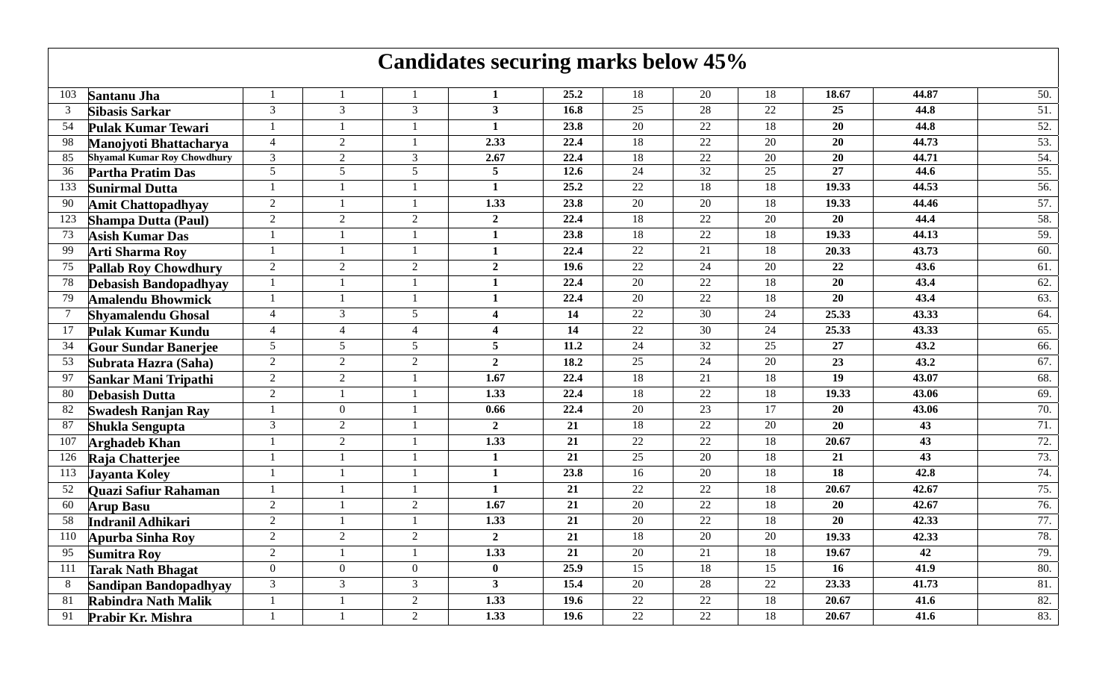## **Candidates securing marks below 45%**

| <b>Santanu Jha</b>           |                                    |                                                     |                | 1                      | 25.2              | 18                                                                                | 20                                                                                                                     | 18                                                                                            | 18.67                                                                                                   | 44.87                                                                                                                                 | 50.                                                                      |
|------------------------------|------------------------------------|-----------------------------------------------------|----------------|------------------------|-------------------|-----------------------------------------------------------------------------------|------------------------------------------------------------------------------------------------------------------------|-----------------------------------------------------------------------------------------------|---------------------------------------------------------------------------------------------------------|---------------------------------------------------------------------------------------------------------------------------------------|--------------------------------------------------------------------------|
| Sibasis Sarkar               | 3                                  | 3                                                   | 3              | $\mathbf{3}$           | 16.8              | 25                                                                                | 28                                                                                                                     | 22                                                                                            | 25                                                                                                      | 44.8                                                                                                                                  | 51.                                                                      |
| <b>Pulak Kumar Tewari</b>    | $\mathbf{1}$                       |                                                     |                | $\mathbf{1}$           |                   | $\overline{20}$                                                                   |                                                                                                                        | $\overline{18}$                                                                               |                                                                                                         |                                                                                                                                       | $\overline{52}$ .                                                        |
| Manojyoti Bhattacharya       | $\overline{4}$                     | $\overline{2}$                                      |                | 2.33                   | 22.4              | 18                                                                                | $\overline{22}$                                                                                                        | 20                                                                                            | 20                                                                                                      | 44.73                                                                                                                                 | 53.                                                                      |
|                              | 3                                  | $\overline{2}$                                      | 3              | 2.67                   | 22.4              | 18                                                                                | $\overline{22}$                                                                                                        | $\overline{20}$                                                                               |                                                                                                         | 44.71                                                                                                                                 | 54.                                                                      |
| Partha Pratim Das            |                                    |                                                     |                |                        |                   |                                                                                   |                                                                                                                        |                                                                                               |                                                                                                         |                                                                                                                                       | $\overline{55}$ .                                                        |
| <b>Sunirmal Dutta</b>        | $\mathbf{1}$                       |                                                     |                | $\mathbf{1}$           |                   |                                                                                   |                                                                                                                        |                                                                                               |                                                                                                         |                                                                                                                                       | 56.                                                                      |
| <b>Amit Chattopadhyay</b>    |                                    |                                                     |                |                        |                   |                                                                                   |                                                                                                                        |                                                                                               |                                                                                                         |                                                                                                                                       | 57.                                                                      |
| <b>Shampa Dutta (Paul)</b>   | 2                                  | $\overline{2}$                                      | $\overline{2}$ | $\overline{2}$         |                   |                                                                                   |                                                                                                                        | 20                                                                                            | <b>20</b>                                                                                               |                                                                                                                                       | 58.                                                                      |
| <b>Asish Kumar Das</b>       |                                    |                                                     |                | $\mathbf{1}$           |                   |                                                                                   |                                                                                                                        | 18                                                                                            |                                                                                                         |                                                                                                                                       | 59.                                                                      |
| <b>Arti Sharma Roy</b>       | $\mathbf{1}$                       |                                                     |                | $\mathbf{1}$           |                   |                                                                                   |                                                                                                                        |                                                                                               |                                                                                                         |                                                                                                                                       | 60.                                                                      |
| <b>Pallab Roy Chowdhury</b>  |                                    | $\overline{2}$                                      |                | $\overline{2}$         |                   |                                                                                   | 24                                                                                                                     |                                                                                               |                                                                                                         |                                                                                                                                       | 61.                                                                      |
| <b>Debasish Bandopadhyay</b> |                                    |                                                     |                | $\mathbf{1}$           |                   |                                                                                   |                                                                                                                        |                                                                                               |                                                                                                         |                                                                                                                                       | $\overline{62}$ .                                                        |
| <b>Amalendu Bhowmick</b>     |                                    |                                                     |                | $\mathbf{1}$           | 22.4              | 20                                                                                | 22                                                                                                                     | 18                                                                                            | 20                                                                                                      | 43.4                                                                                                                                  | 63.                                                                      |
| <b>Shyamalendu Ghosal</b>    | $\overline{4}$                     | $\overline{3}$                                      | 5              | 4                      | 14                |                                                                                   |                                                                                                                        |                                                                                               | 25.33                                                                                                   | 43.33                                                                                                                                 | 64.                                                                      |
| Pulak Kumar Kundu            | $\overline{4}$                     | $\overline{4}$                                      | $\overline{4}$ | $\boldsymbol{\Lambda}$ | 14                |                                                                                   | 30                                                                                                                     | 24                                                                                            | 25.33                                                                                                   | 43.33                                                                                                                                 | 65.                                                                      |
| <b>Gour Sundar Banerjee</b>  | 5                                  | 5                                                   | 5              | 5                      | 11.2              | 24                                                                                | 32                                                                                                                     | 25                                                                                            | 27                                                                                                      | 43.2                                                                                                                                  | 66.                                                                      |
| Subrata Hazra (Saha)         | 2                                  | $\overline{2}$                                      | $\overline{2}$ | $\overline{2}$         | 18.2              | 25                                                                                | 24                                                                                                                     | 20                                                                                            | $\overline{23}$                                                                                         | 43.2                                                                                                                                  | 67.                                                                      |
| Sankar Mani Tripathi         | $\overline{2}$                     | $\overline{2}$                                      |                | $\overline{1.67}$      | $\overline{22.4}$ |                                                                                   | 21                                                                                                                     | $\overline{18}$                                                                               |                                                                                                         | 43.07                                                                                                                                 | 68.                                                                      |
| <b>Debasish Dutta</b>        | $\overline{2}$                     |                                                     |                | 1.33                   | 22.4              | 18                                                                                | $22\,$                                                                                                                 | 18                                                                                            | 19.33                                                                                                   | 43.06                                                                                                                                 | 69.                                                                      |
| <b>Swadesh Ranjan Ray</b>    | 1                                  | $\overline{0}$                                      |                | 0.66                   | 22.4              | 20                                                                                | 23                                                                                                                     | 17                                                                                            | 20                                                                                                      | 43.06                                                                                                                                 | 70.                                                                      |
| <b>Shukla Sengupta</b>       | 3                                  | 2                                                   |                | $\overline{2}$         | 21                | 18                                                                                | $\overline{22}$                                                                                                        | 20                                                                                            | 20                                                                                                      | 43                                                                                                                                    | 71.                                                                      |
| <b>Arghadeb Khan</b>         |                                    | $\overline{2}$                                      |                | 1.33                   | 21                | 22                                                                                | $\overline{22}$                                                                                                        | 18                                                                                            | 20.67                                                                                                   | 43                                                                                                                                    | 72.                                                                      |
| Raja Chatterjee              | $\mathbf{1}$                       |                                                     |                | $\mathbf{1}$           | 21                | 25                                                                                | 20                                                                                                                     | 18                                                                                            | 21                                                                                                      | 43                                                                                                                                    | 73.                                                                      |
| <b>Javanta Kolev</b>         |                                    |                                                     |                | $\mathbf{1}$           | 23.8              | 16                                                                                | 20                                                                                                                     | 18                                                                                            | 18                                                                                                      | 42.8                                                                                                                                  | 74.                                                                      |
| Quazi Safiur Rahaman         | $\overline{1}$                     |                                                     |                | $\mathbf{1}$           | $\overline{21}$   | $\overline{22}$                                                                   | $\overline{22}$                                                                                                        | $\overline{18}$                                                                               | 20.67                                                                                                   | 42.67                                                                                                                                 | 75.                                                                      |
| <b>Arup Basu</b>             | $\overline{2}$                     |                                                     | $\overline{2}$ | 1.67                   | 21                | 20                                                                                | $\overline{22}$                                                                                                        | 18                                                                                            | 20                                                                                                      | 42.67                                                                                                                                 | 76.                                                                      |
| Indranil Adhikari            | 2                                  |                                                     |                | 1.33                   | $\overline{21}$   | 20                                                                                | $\overline{22}$                                                                                                        | $\overline{18}$                                                                               | $\overline{20}$                                                                                         | 42.33                                                                                                                                 | 77.                                                                      |
| <b>Apurba Sinha Roy</b>      | $\overline{2}$                     | $\overline{2}$                                      | $\overline{2}$ | $\overline{2}$         | $\overline{21}$   | 18                                                                                | $\overline{20}$                                                                                                        | 20                                                                                            | 19.33                                                                                                   | 42.33                                                                                                                                 | 78.                                                                      |
| <b>Sumitra Roy</b>           | $\overline{2}$                     |                                                     |                | 1.33                   | 21                | $\overline{20}$                                                                   | 21                                                                                                                     | $\overline{18}$                                                                               | 19.67                                                                                                   | $\overline{42}$                                                                                                                       | 79.                                                                      |
| <b>Tarak Nath Bhagat</b>     | $\overline{0}$                     | $\overline{0}$                                      | $\overline{0}$ | $\mathbf{0}$           | 25.9              | 15                                                                                | 18                                                                                                                     | 15                                                                                            | 16                                                                                                      | 41.9                                                                                                                                  | 80.                                                                      |
| <b>Sandipan Bandopadhyay</b> | 3                                  | $\overline{3}$                                      | 3              | $\mathbf{3}$           | 15.4              | 20                                                                                | 28                                                                                                                     | 22                                                                                            | 23.33                                                                                                   | 41.73                                                                                                                                 | 81.                                                                      |
| <b>Rabindra Nath Malik</b>   |                                    |                                                     | $\overline{2}$ | 1.33                   | 19.6              | 22                                                                                | $22\,$                                                                                                                 | 18                                                                                            | 20.67                                                                                                   | 41.6                                                                                                                                  | 82.                                                                      |
| Prabir Kr. Mishra            |                                    |                                                     | $\overline{2}$ | 1.33                   | 19.6              | $\overline{22}$                                                                   | 22                                                                                                                     | 18                                                                                            | 20.67                                                                                                   | 41.6                                                                                                                                  | 83.                                                                      |
|                              | <b>Shyamal Kumar Roy Chowdhury</b> | $5\overline{)}$<br>$\overline{2}$<br>$\overline{2}$ | 5              | 5<br>$\overline{2}$    | 5<br>1.33         | 23.8<br>$\overline{12.6}$<br>25.2<br>23.8<br>22.4<br>23.8<br>22.4<br>19.6<br>22.4 | 24<br>$22\,$<br>$\overline{20}$<br>18<br>18<br>22<br>22<br>$\overline{20}$<br>$\overline{22}$<br>$\overline{22}$<br>18 | 22<br>32<br>18<br>20<br>$22\,$<br>$\overline{22}$<br>21<br>$\overline{22}$<br>$\overline{30}$ | $\overline{25}$<br>$\overline{18}$<br>18<br>$\overline{18}$<br>20<br>$\overline{18}$<br>$\overline{24}$ | $\overline{20}$<br>$\overline{20}$<br>$\overline{27}$<br>19.33<br>19.33<br>19.33<br>20.33<br>22<br>$\overline{20}$<br>$\overline{19}$ | 44.8<br>44.6<br>44.53<br>44.46<br>44.4<br>44.13<br>43.73<br>43.6<br>43.4 |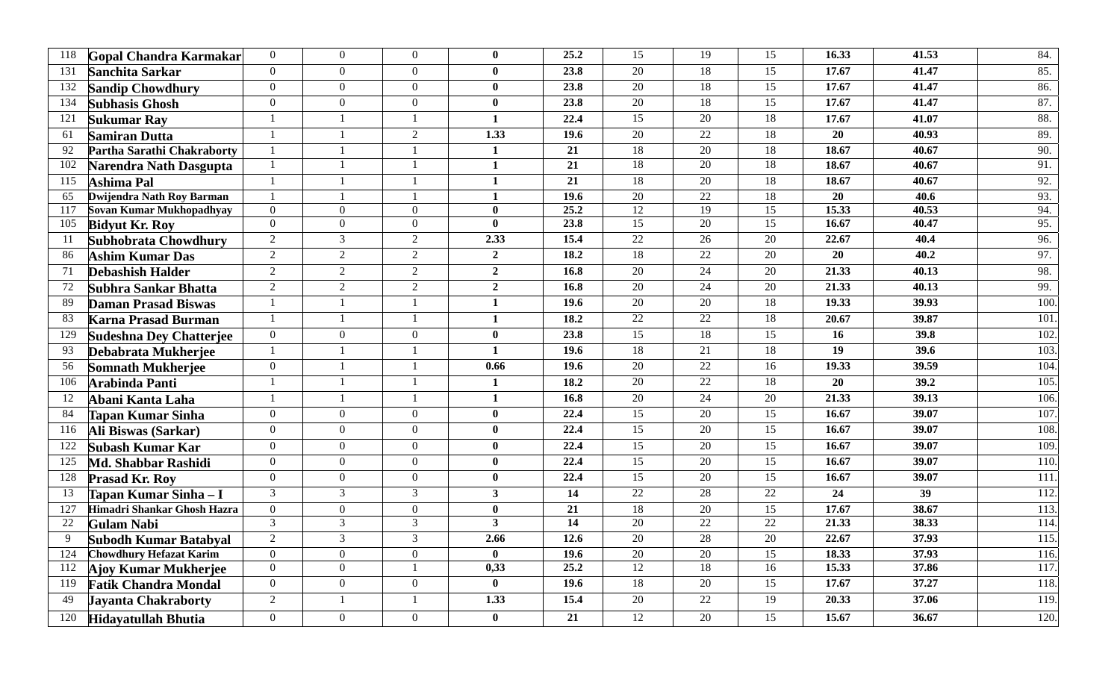| 118 | Gopal Chandra Karmakar         | $\overline{0}$   | $\overline{0}$   | $\overline{0}$   | $\mathbf{0}$            | 25.2              | $\overline{15}$ | 19              | 15              | 16.33           | 41.53 | 84.  |
|-----|--------------------------------|------------------|------------------|------------------|-------------------------|-------------------|-----------------|-----------------|-----------------|-----------------|-------|------|
| 131 | Sanchita Sarkar                | $\mathbf{0}$     | $\overline{0}$   | $\overline{0}$   | $\bf{0}$                | 23.8              | $\overline{20}$ | <sup>18</sup>   | 15              | 17.67           | 41.47 | 85.  |
| 132 | <b>Sandip Chowdhury</b>        | $\overline{0}$   | $\overline{0}$   | $\overline{0}$   | $\bf{0}$                | 23.8              | 20              | 18              | $\overline{15}$ | 17.67           | 41.47 | 86.  |
| 134 | <b>Subhasis Ghosh</b>          | $\mathbf{0}$     | $\overline{0}$   | $\overline{0}$   | $\bf{0}$                | 23.8              | $\overline{20}$ | <sup>18</sup>   | $\overline{15}$ | 17.67           | 41.47 | 87.  |
| 121 | <b>Sukumar Rav</b>             | $\overline{1}$   |                  | $\mathbf{1}$     | $\mathbf{1}$            | 22.4              | $\overline{15}$ | 20              | 18              | 17.67           | 41.07 | 88.  |
| 61  | <b>Samiran Dutta</b>           | $\mathbf{1}$     | $\overline{1}$   | $\overline{2}$   | 1.33                    | 19.6              | $\overline{20}$ | 22              | 18              | 20              | 40.93 | 89.  |
| 92  | Partha Sarathi Chakraborty     | $\overline{1}$   |                  |                  | 1                       | 21                | $\overline{18}$ | 20              | 18              | 18.67           | 40.67 | 90.  |
| 102 | Narendra Nath Dasgupta         | $\mathbf{1}$     |                  |                  | $\mathbf{1}$            | $\overline{21}$   | $\overline{18}$ | $\overline{20}$ | $\overline{18}$ | 18.67           | 40.67 | 91.  |
| 115 | Ashima Pal                     | $\overline{1}$   |                  |                  | 1                       | 21                | 18              | $\overline{20}$ | 18              | 18.67           | 40.67 | 92.  |
| 65  | Dwijendra Nath Roy Barman      | $\overline{1}$   |                  |                  | 1                       | 19.6              | 20              | 22              | 18              | 20              | 40.6  | 93.  |
| 117 | Sovan Kumar Mukhopadhyay       | $\boldsymbol{0}$ | $\overline{0}$   | $\overline{0}$   | $\mathbf{0}$            | 25.2              | 12              | 19              | $\overline{15}$ | 15.33           | 40.53 | 94.  |
| 105 | <b>Bidyut Kr. Roy</b>          | $\mathbf{0}$     | $\theta$         | $\overline{0}$   | $\mathbf{0}$            | 23.8              | $\overline{15}$ | 20              | 15              | 16.67           | 40.47 | 95.  |
| -11 | Subhobrata Chowdhury           | $\overline{2}$   | $\overline{3}$   | $\overline{2}$   | 2.33                    | 15.4              | 22              | $\overline{26}$ | $\overline{20}$ | 22.67           | 40.4  | 96.  |
| 86  | <b>Ashim Kumar Das</b>         | $\overline{2}$   | $\overline{2}$   | $\overline{2}$   | $\overline{2}$          | 18.2              | 18              | 22              | 20              | 20              | 40.2  | 97.  |
| 71  | <b>Debashish Halder</b>        | $\overline{2}$   | $\overline{2}$   | $\overline{2}$   | $\overline{2}$          | 16.8              | 20              | 24              | 20              | 21.33           | 40.13 | 98.  |
| 72  | Subhra Sankar Bhatta           | $\overline{2}$   | 2                | $\overline{2}$   | $\overline{2}$          | 16.8              | $\overline{20}$ | $\overline{24}$ | 20              | 21.33           | 40.13 | 99.  |
| 89  | <b>Daman Prasad Biswas</b>     | $\overline{1}$   |                  | $\mathbf{1}$     | $\mathbf{1}$            | 19.6              | $\overline{20}$ | $\overline{20}$ | 18              | 19.33           | 39.93 | 100  |
| 83  | <b>Karna Prasad Burman</b>     | $\overline{1}$   | $\overline{1}$   |                  | 1                       | $\overline{18.2}$ | 22              | 22              | $\overline{18}$ | 20.67           | 39.87 | 101  |
| 129 | <b>Sudeshna Dey Chatterjee</b> | $\mathbf{0}$     | $\overline{0}$   | $\overline{0}$   | $\bf{0}$                | 23.8              | $\overline{15}$ | 18              | 15              | 16              | 39.8  | 102  |
| 93  | Debabrata Mukherjee            | $\overline{1}$   |                  |                  | $\mathbf{1}$            | 19.6              | $\overline{18}$ | $\overline{21}$ | 18              | $\overline{19}$ | 39.6  | 103  |
| 56  | Somnath Mukherjee              | $\boldsymbol{0}$ | $\overline{1}$   | $\mathbf{1}$     | 0.66                    | 19.6              | 20              | 22              | 16              | 19.33           | 39.59 | 104  |
| 106 | <b>Arabinda Panti</b>          | $\overline{1}$   |                  |                  | 1                       | 18.2              | 20              | 22              | 18              | 20              | 39.2  | 105  |
| 12  | Abani Kanta Laha               | $\overline{1}$   | $\overline{1}$   | $\mathbf{1}$     | $\mathbf{1}$            | 16.8              | 20              | 24              | $\overline{20}$ | 21.33           | 39.13 | 106. |
| 84  | <b>Tapan Kumar Sinha</b>       | $\mathbf{0}$     | $\overline{0}$   | $\overline{0}$   | $\bf{0}$                | 22.4              | 15              | 20              | 15              | 16.67           | 39.07 | 107  |
| 116 | Ali Biswas (Sarkar)            | $\mathbf{0}$     | $\Omega$         | $\overline{0}$   | $\mathbf{0}$            | 22.4              | $\overline{15}$ | 20              | 15              | 16.67           | 39.07 | 108  |
| 122 | Subash Kumar Kar               | $\boldsymbol{0}$ | $\Omega$         | $\overline{0}$   | $\mathbf{0}$            | 22.4              | $\overline{15}$ | $\overline{20}$ | $\overline{15}$ | 16.67           | 39.07 | 109  |
| 125 | Md. Shabbar Rashidi            | $\mathbf{0}$     | $\overline{0}$   | $\overline{0}$   | $\mathbf{0}$            | 22.4              | $\overline{15}$ | 20              | 15              | 16.67           | 39.07 | 110  |
| 128 | <b>Prasad Kr. Roy</b>          | $\boldsymbol{0}$ | $\theta$         | $\overline{0}$   | $\mathbf{0}$            | 22.4              | $\overline{15}$ | $\overline{20}$ | $\overline{15}$ | 16.67           | 39.07 | 111  |
| 13  | Tapan Kumar Sinha – I          | $\overline{3}$   | $\mathfrak{Z}$   | $\overline{3}$   | $\overline{\mathbf{3}}$ | 14                | 22              | 28              | $\overline{22}$ | 24              | 39    | 112  |
| 127 | Himadri Shankar Ghosh Hazra    | $\mathbf{0}$     | $\overline{0}$   | $\overline{0}$   | $\bf{0}$                | 21                | 18              | 20              | 15              | 17.67           | 38.67 | 113  |
| 22  | <b>Gulam Nabi</b>              | $\overline{3}$   | 3                | 3                | $\overline{\mathbf{3}}$ | 14                | 20              | 22              | 22              | 21.33           | 38.33 | 114  |
| 9   | Subodh Kumar Batabyal          | $\overline{2}$   | $\overline{3}$   | $\mathfrak{Z}$   | 2.66                    | 12.6              | 20              | 28              | 20              | 22.67           | 37.93 | 115  |
| 124 | <b>Chowdhury Hefazat Karim</b> | $\mathbf{0}$     | $\boldsymbol{0}$ | $\boldsymbol{0}$ | $\mathbf{0}$            | 19.6              | $\overline{20}$ | 20              | $\overline{15}$ | 18.33           | 37.93 | 116. |
| 112 | Ajoy Kumar Mukherjee           | $\mathbf{0}$     | $\mathbf{0}$     |                  | 0,33                    | 25.2              | $\overline{12}$ | <sup>18</sup>   | 16              | 15.33           | 37.86 | 117. |
| 119 | <b>Fatik Chandra Mondal</b>    | $\boldsymbol{0}$ | $\mathbf{0}$     | $\overline{0}$   | $\bf{0}$                | 19.6              | 18              | 20              | $\overline{15}$ | 17.67           | 37.27 | 118  |
| 49  | Jayanta Chakraborty            | $\overline{2}$   |                  | $\mathbf{1}$     | 1.33                    | 15.4              | $\overline{20}$ | 22              | 19              | 20.33           | 37.06 | 119  |
| 120 | <b>Hidayatullah Bhutia</b>     | $\mathbf{0}$     | $\overline{0}$   | $\overline{0}$   | $\mathbf{0}$            | 21                | 12              | 20              | 15              | 15.67           | 36.67 | 120. |